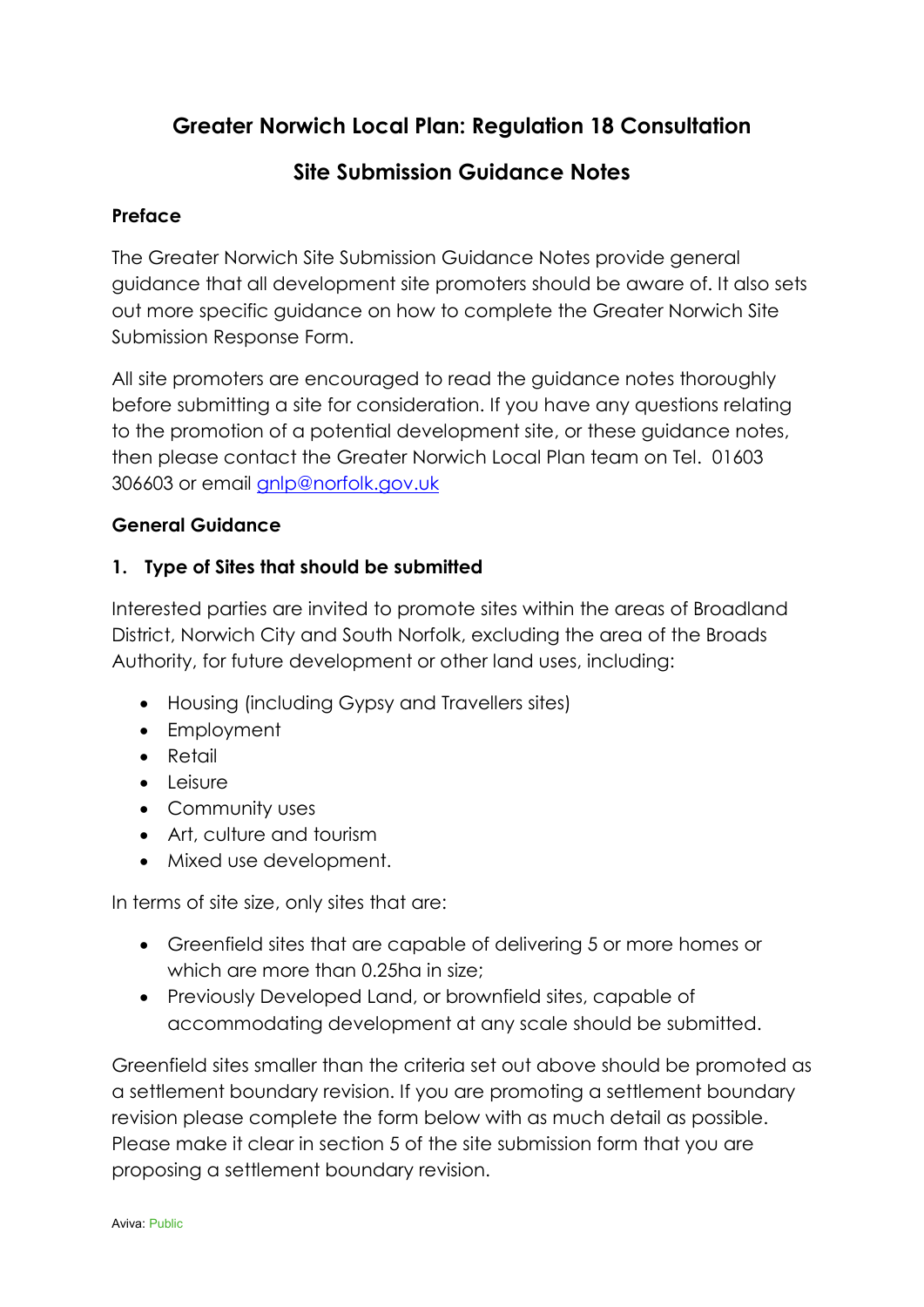# **Greater Norwich Local Plan: Regulation 18 Consultation**

# **Site Submission Guidance Notes**

## **Preface**

The Greater Norwich Site Submission Guidance Notes provide general guidance that all development site promoters should be aware of. It also sets out more specific guidance on how to complete the Greater Norwich Site Submission Response Form.

All site promoters are encouraged to read the guidance notes thoroughly before submitting a site for consideration. If you have any questions relating to the promotion of a potential development site, or these guidance notes, then please contact the Greater Norwich Local Plan team on Tel. 01603 306603 or email [gnlp@norfolk.gov.uk](mailto:gnlp@norfolk.gov.uk)

# **General Guidance**

## **1. Type of Sites that should be submitted**

Interested parties are invited to promote sites within the areas of Broadland District, Norwich City and South Norfolk, excluding the area of the Broads Authority, for future development or other land uses, including:

- Housing (including Gypsy and Travellers sites)
- Employment
- Retail
- Leisure
- Community uses
- Art, culture and tourism
- Mixed use development.

In terms of site size, only sites that are:

- Greenfield sites that are capable of delivering 5 or more homes or which are more than 0.25ha in size;
- Previously Developed Land, or brownfield sites, capable of accommodating development at any scale should be submitted.

Greenfield sites smaller than the criteria set out above should be promoted as a settlement boundary revision. If you are promoting a settlement boundary revision please complete the form below with as much detail as possible. Please make it clear in section 5 of the site submission form that you are proposing a settlement boundary revision.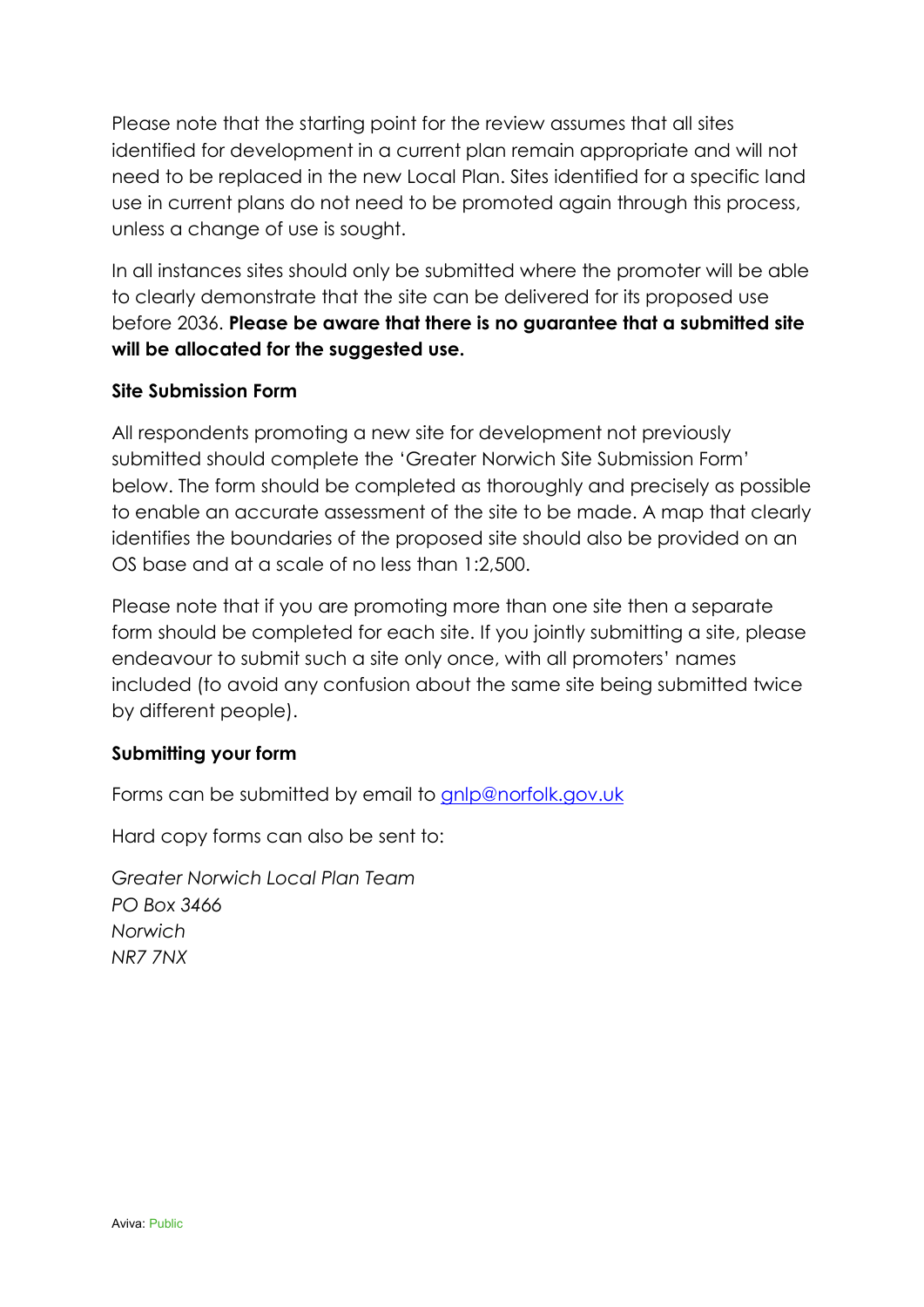Please note that the starting point for the review assumes that all sites identified for development in a current plan remain appropriate and will not need to be replaced in the new Local Plan. Sites identified for a specific land use in current plans do not need to be promoted again through this process, unless a change of use is sought.

In all instances sites should only be submitted where the promoter will be able to clearly demonstrate that the site can be delivered for its proposed use before 2036. **Please be aware that there is no guarantee that a submitted site will be allocated for the suggested use.**

## **Site Submission Form**

All respondents promoting a new site for development not previously submitted should complete the 'Greater Norwich Site Submission Form' below. The form should be completed as thoroughly and precisely as possible to enable an accurate assessment of the site to be made. A map that clearly identifies the boundaries of the proposed site should also be provided on an OS base and at a scale of no less than 1:2,500.

Please note that if you are promoting more than one site then a separate form should be completed for each site. If you jointly submitting a site, please endeavour to submit such a site only once, with all promoters' names included (to avoid any confusion about the same site being submitted twice by different people).

## **Submitting your form**

Forms can be submitted by email to [gnlp@norfolk.gov.uk](mailto:gnlp@norfolk.gov.uk)

Hard copy forms can also be sent to:

*Greater Norwich Local Plan Team PO Box 3466 Norwich NR7 7NX*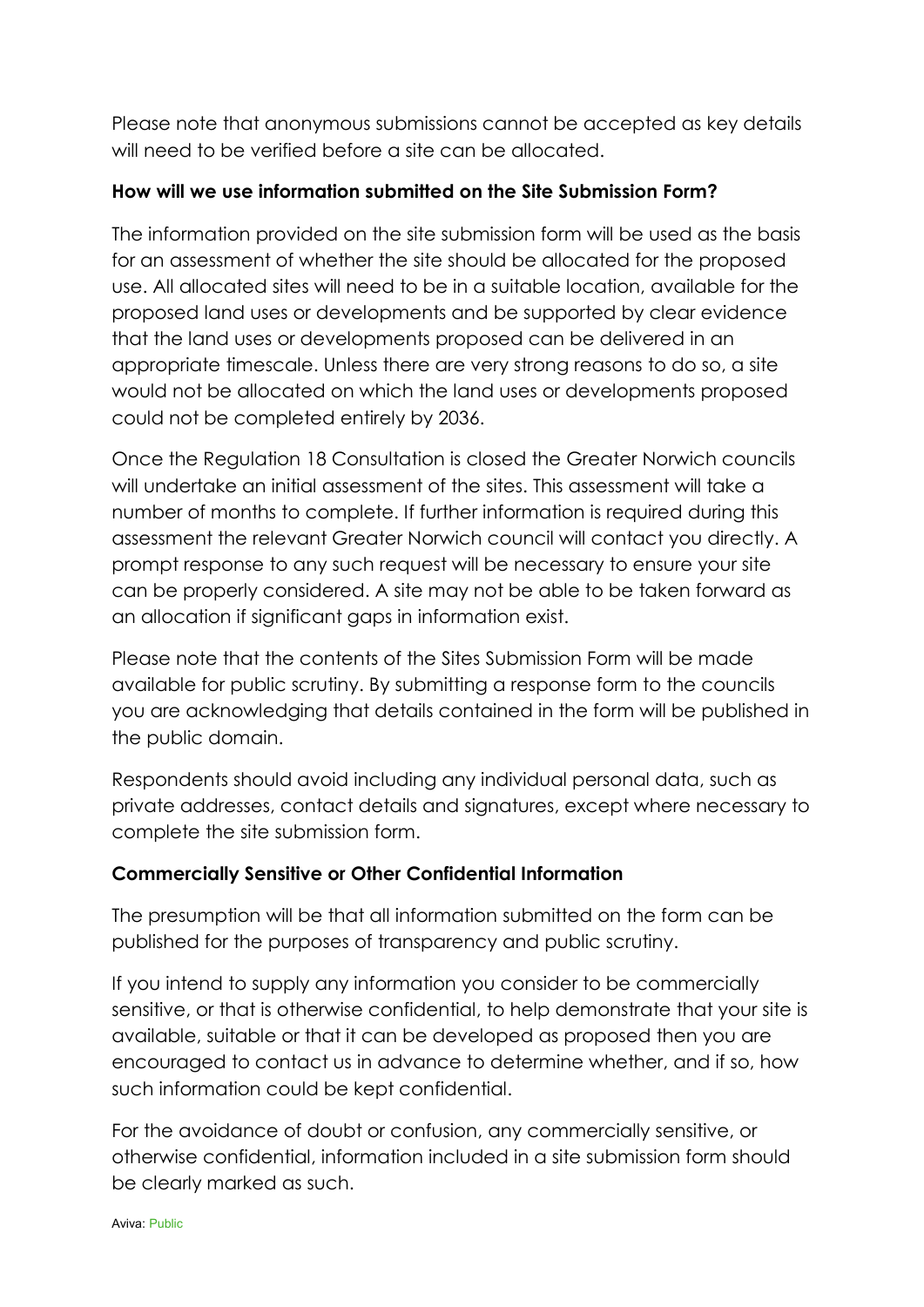Please note that anonymous submissions cannot be accepted as key details will need to be verified before a site can be allocated.

## **How will we use information submitted on the Site Submission Form?**

The information provided on the site submission form will be used as the basis for an assessment of whether the site should be allocated for the proposed use. All allocated sites will need to be in a suitable location, available for the proposed land uses or developments and be supported by clear evidence that the land uses or developments proposed can be delivered in an appropriate timescale. Unless there are very strong reasons to do so, a site would not be allocated on which the land uses or developments proposed could not be completed entirely by 2036.

Once the Regulation 18 Consultation is closed the Greater Norwich councils will undertake an initial assessment of the sites. This assessment will take a number of months to complete. If further information is required during this assessment the relevant Greater Norwich council will contact you directly. A prompt response to any such request will be necessary to ensure your site can be properly considered. A site may not be able to be taken forward as an allocation if significant gaps in information exist.

Please note that the contents of the Sites Submission Form will be made available for public scrutiny. By submitting a response form to the councils you are acknowledging that details contained in the form will be published in the public domain.

Respondents should avoid including any individual personal data, such as private addresses, contact details and signatures, except where necessary to complete the site submission form.

## **Commercially Sensitive or Other Confidential Information**

The presumption will be that all information submitted on the form can be published for the purposes of transparency and public scrutiny.

If you intend to supply any information you consider to be commercially sensitive, or that is otherwise confidential, to help demonstrate that your site is available, suitable or that it can be developed as proposed then you are encouraged to contact us in advance to determine whether, and if so, how such information could be kept confidential.

For the avoidance of doubt or confusion, any commercially sensitive, or otherwise confidential, information included in a site submission form should be clearly marked as such.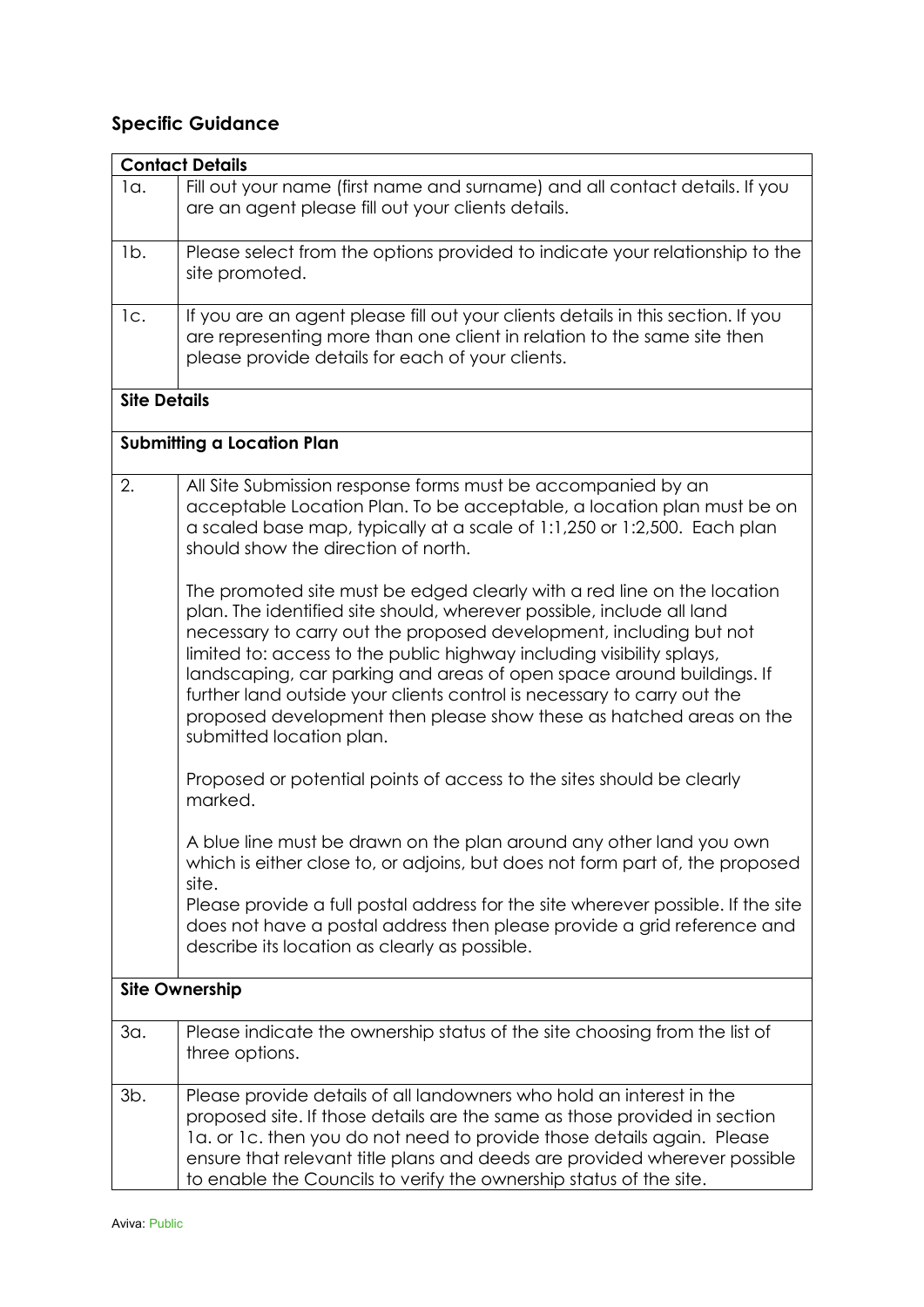# **Specific Guidance**

|                     | <b>Contact Details</b>                                                           |  |  |
|---------------------|----------------------------------------------------------------------------------|--|--|
| $1a$ .              | Fill out your name (first name and surname) and all contact details. If you      |  |  |
|                     | are an agent please fill out your clients details.                               |  |  |
|                     |                                                                                  |  |  |
|                     |                                                                                  |  |  |
| Ib.                 | Please select from the options provided to indicate your relationship to the     |  |  |
|                     | site promoted.                                                                   |  |  |
|                     |                                                                                  |  |  |
| 1c.                 | If you are an agent please fill out your clients details in this section. If you |  |  |
|                     | are representing more than one client in relation to the same site then          |  |  |
|                     | please provide details for each of your clients.                                 |  |  |
|                     |                                                                                  |  |  |
| <b>Site Details</b> |                                                                                  |  |  |
|                     |                                                                                  |  |  |
|                     |                                                                                  |  |  |
|                     | <b>Submitting a Location Plan</b>                                                |  |  |
| 2.                  | All Site Submission response forms must be accompanied by an                     |  |  |
|                     | acceptable Location Plan. To be acceptable, a location plan must be on           |  |  |
|                     |                                                                                  |  |  |
|                     | a scaled base map, typically at a scale of 1:1,250 or 1:2,500. Each plan         |  |  |
|                     | should show the direction of north.                                              |  |  |
|                     |                                                                                  |  |  |
|                     | The promoted site must be edged clearly with a red line on the location          |  |  |
|                     | plan. The identified site should, wherever possible, include all land            |  |  |
|                     | necessary to carry out the proposed development, including but not               |  |  |
|                     | limited to: access to the public highway including visibility splays,            |  |  |
|                     | landscaping, car parking and areas of open space around buildings. If            |  |  |
|                     | further land outside your clients control is necessary to carry out the          |  |  |
|                     |                                                                                  |  |  |
|                     | proposed development then please show these as hatched areas on the              |  |  |
|                     | submitted location plan.                                                         |  |  |
|                     |                                                                                  |  |  |
|                     | Proposed or potential points of access to the sites should be clearly            |  |  |
|                     | marked.                                                                          |  |  |
|                     |                                                                                  |  |  |
|                     | A blue line must be drawn on the plan around any other land you own              |  |  |
|                     | which is either close to, or adjoins, but does not form part of, the proposed    |  |  |
|                     | site.                                                                            |  |  |
|                     | Please provide a full postal address for the site wherever possible. If the site |  |  |
|                     | does not have a postal address then please provide a grid reference and          |  |  |
|                     | describe its location as clearly as possible.                                    |  |  |
|                     |                                                                                  |  |  |
|                     | <b>Site Ownership</b>                                                            |  |  |
|                     |                                                                                  |  |  |
| 3a.                 | Please indicate the ownership status of the site choosing from the list of       |  |  |
|                     | three options.                                                                   |  |  |
|                     |                                                                                  |  |  |
| $3b$ .              | Please provide details of all landowners who hold an interest in the             |  |  |
|                     |                                                                                  |  |  |
|                     | proposed site. If those details are the same as those provided in section        |  |  |
|                     | 1a. or 1c. then you do not need to provide those details again. Please           |  |  |
|                     | ensure that relevant title plans and deeds are provided wherever possible        |  |  |
|                     | to enable the Councils to verify the ownership status of the site.               |  |  |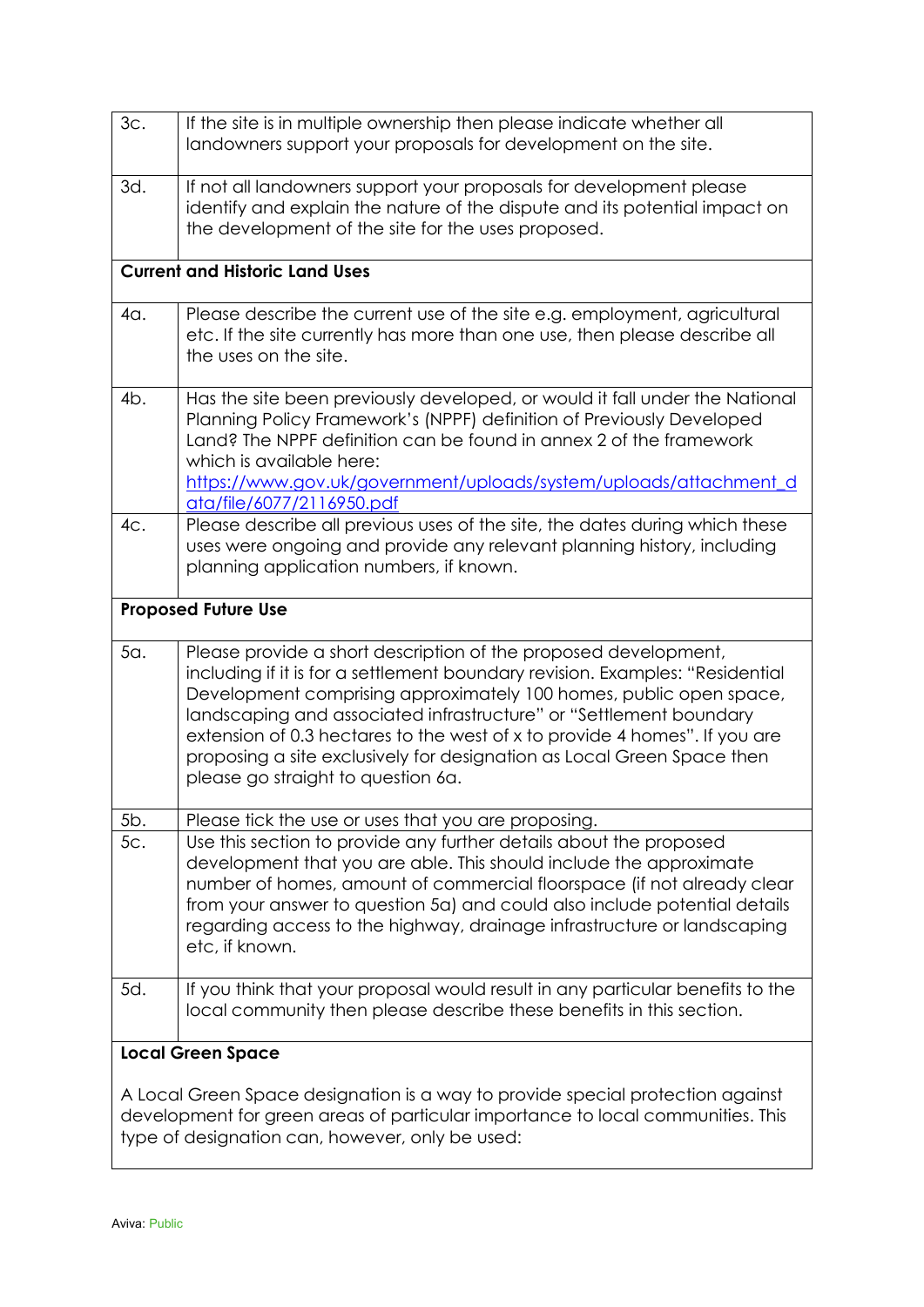| 3c. | If the site is in multiple ownership then please indicate whether all<br>landowners support your proposals for development on the site.                                                                                                                                                                                                                                                                                                                                                    |
|-----|--------------------------------------------------------------------------------------------------------------------------------------------------------------------------------------------------------------------------------------------------------------------------------------------------------------------------------------------------------------------------------------------------------------------------------------------------------------------------------------------|
| 3d. | If not all landowners support your proposals for development please<br>identify and explain the nature of the dispute and its potential impact on<br>the development of the site for the uses proposed.                                                                                                                                                                                                                                                                                    |
|     | <b>Current and Historic Land Uses</b>                                                                                                                                                                                                                                                                                                                                                                                                                                                      |
| 4a. | Please describe the current use of the site e.g. employment, agricultural<br>etc. If the site currently has more than one use, then please describe all<br>the uses on the site.                                                                                                                                                                                                                                                                                                           |
| 4b. | Has the site been previously developed, or would it fall under the National<br>Planning Policy Framework's (NPPF) definition of Previously Developed<br>Land? The NPPF definition can be found in annex 2 of the framework<br>which is available here:<br>https://www.gov.uk/government/uploads/system/uploads/attachment_d<br>ata/file/6077/2116950.pdf                                                                                                                                   |
| 4c. | Please describe all previous uses of the site, the dates during which these<br>uses were ongoing and provide any relevant planning history, including<br>planning application numbers, if known.                                                                                                                                                                                                                                                                                           |
|     | <b>Proposed Future Use</b>                                                                                                                                                                                                                                                                                                                                                                                                                                                                 |
| 5a. | Please provide a short description of the proposed development,<br>including if it is for a settlement boundary revision. Examples: "Residential<br>Development comprising approximately 100 homes, public open space,<br>landscaping and associated infrastructure" or "Settlement boundary<br>extension of 0.3 hectares to the west of x to provide 4 homes". If you are<br>proposing a site exclusively for designation as Local Green Space then<br>please go straight to question 6a. |
| 5b. | Please tick the use or uses that you are proposing.                                                                                                                                                                                                                                                                                                                                                                                                                                        |
| 5с. | Use this section to provide any further details about the proposed<br>development that you are able. This should include the approximate<br>number of homes, amount of commercial floorspace (if not already clear<br>from your answer to question 5a) and could also include potential details<br>regarding access to the highway, drainage infrastructure or landscaping<br>etc, if known.                                                                                               |
| 5d. | If you think that your proposal would result in any particular benefits to the<br>local community then please describe these benefits in this section.                                                                                                                                                                                                                                                                                                                                     |
|     | <b>Local Green Space</b>                                                                                                                                                                                                                                                                                                                                                                                                                                                                   |
|     | A Local Green Space designation is a way to provide special protection against<br>development for green areas of particular importance to local communities. This<br>type of designation can, however, only be used:                                                                                                                                                                                                                                                                       |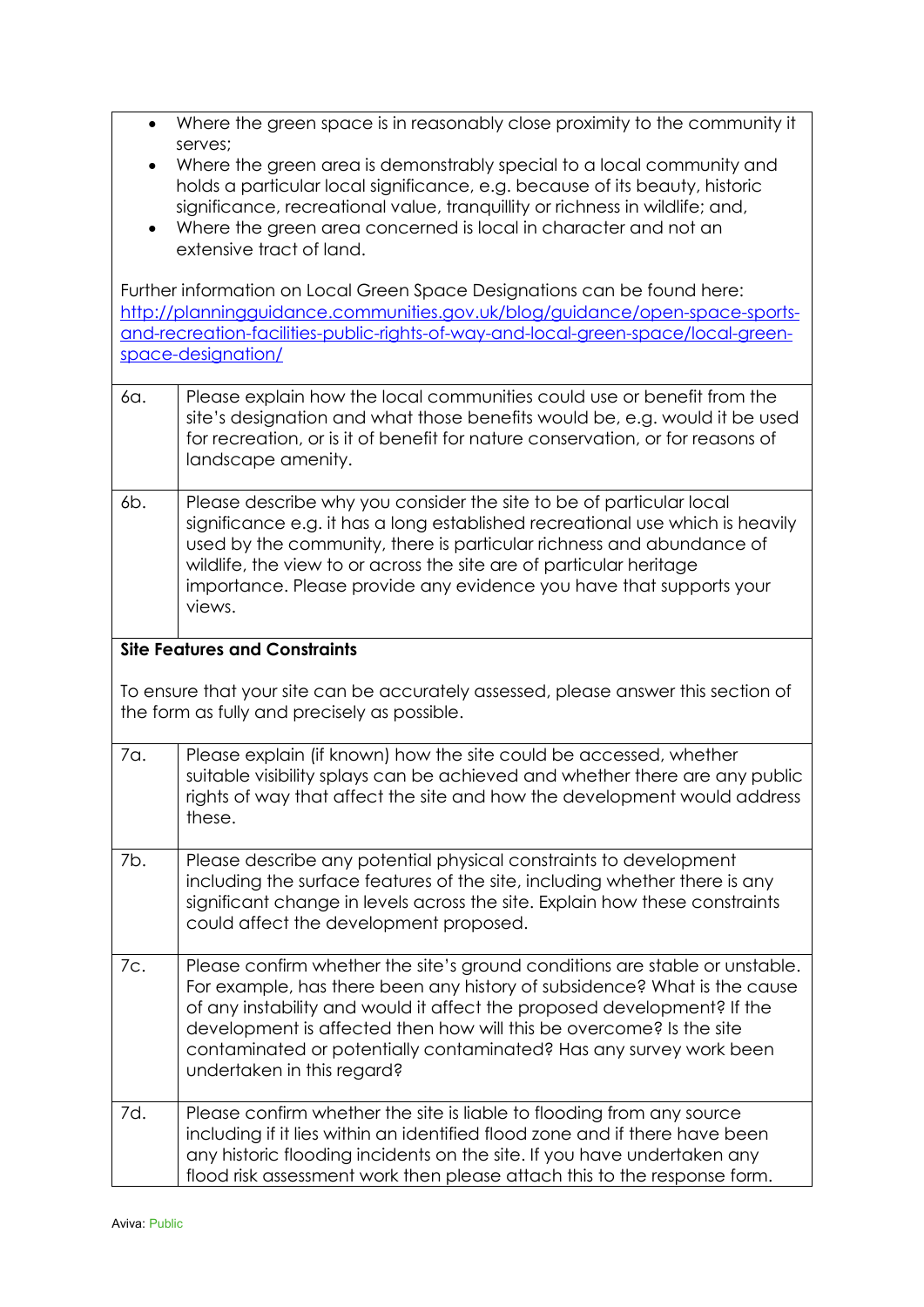| $\bullet$ | Where the green space is in reasonably close proximity to the community it                                                                                   |
|-----------|--------------------------------------------------------------------------------------------------------------------------------------------------------------|
|           | serves;                                                                                                                                                      |
| $\bullet$ | Where the green area is demonstrably special to a local community and<br>holds a particular local significance, e.g. because of its beauty, historic         |
|           | significance, recreational value, tranquillity or richness in wildlife; and,                                                                                 |
| $\bullet$ | Where the green area concerned is local in character and not an                                                                                              |
|           | extensive tract of land.                                                                                                                                     |
|           |                                                                                                                                                              |
|           | Further information on Local Green Space Designations can be found here:<br>http://planningquidance.communities.gov.uk/blog/guidance/open-space-sports-      |
|           | and-recreation-facilities-public-rights-of-way-and-local-green-space/local-green-                                                                            |
|           | space-designation/                                                                                                                                           |
|           |                                                                                                                                                              |
| 6а.       | Please explain how the local communities could use or benefit from the                                                                                       |
|           | site's designation and what those benefits would be, e.g. would it be used<br>for recreation, or is it of benefit for nature conservation, or for reasons of |
|           | landscape amenity.                                                                                                                                           |
|           |                                                                                                                                                              |
| 6b.       | Please describe why you consider the site to be of particular local                                                                                          |
|           | significance e.g. it has a long established recreational use which is heavily<br>used by the community, there is particular richness and abundance of        |
|           | wildlife, the view to or across the site are of particular heritage                                                                                          |
|           | importance. Please provide any evidence you have that supports your                                                                                          |
|           | views.                                                                                                                                                       |
|           | <b>Site Features and Constraints</b>                                                                                                                         |
|           |                                                                                                                                                              |
|           | To ensure that your site can be accurately assessed, please answer this section of                                                                           |
|           | the form as fully and precisely as possible.                                                                                                                 |
| 7a.       | Please explain (if known) how the site could be accessed, whether                                                                                            |
|           | suitable visibility splays can be achieved and whether there are any public                                                                                  |
|           | rights of way that affect the site and how the development would address                                                                                     |
|           | these.                                                                                                                                                       |
| 7b.       | Please describe any potential physical constraints to development                                                                                            |
|           | including the surface features of the site, including whether there is any                                                                                   |
|           | significant change in levels across the site. Explain how these constraints                                                                                  |
|           | could affect the development proposed.                                                                                                                       |
| 7с.       | Please confirm whether the site's ground conditions are stable or unstable.                                                                                  |
|           | For example, has there been any history of subsidence? What is the cause                                                                                     |
|           | of any instability and would it affect the proposed development? If the                                                                                      |
|           | development is affected then how will this be overcome? Is the site<br>contaminated or potentially contaminated? Has any survey work been                    |
|           | undertaken in this regard?                                                                                                                                   |
|           |                                                                                                                                                              |
| 7d.       | Please confirm whether the site is liable to flooding from any source                                                                                        |
|           | including if it lies within an identified flood zone and if there have been                                                                                  |
|           | any historic flooding incidents on the site. If you have undertaken any<br>flood risk assessment work then please attach this to the response form.          |
|           |                                                                                                                                                              |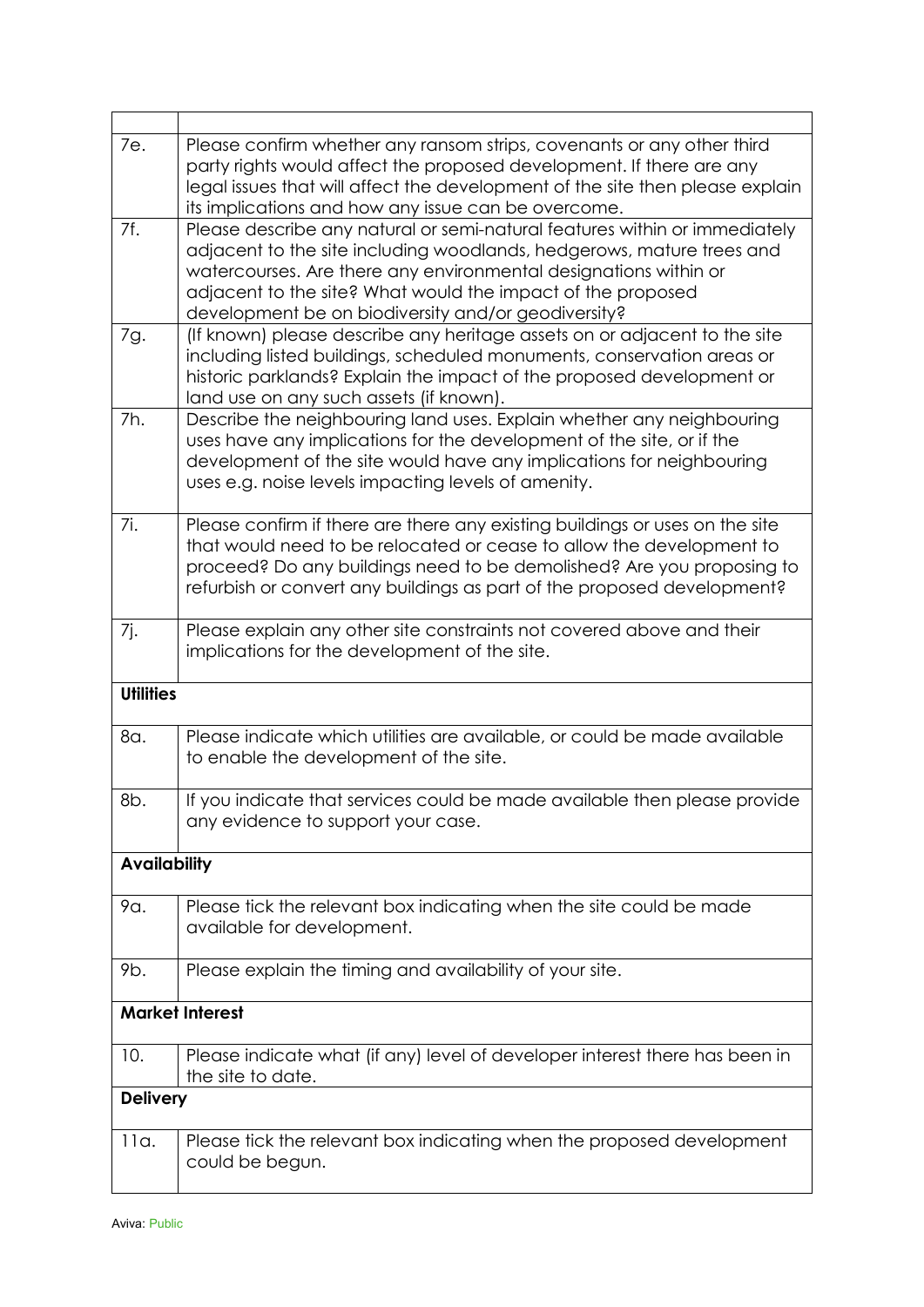| 7e.                 | Please confirm whether any ransom strips, covenants or any other third<br>party rights would affect the proposed development. If there are any<br>legal issues that will affect the development of the site then please explain<br>its implications and how any issue can be overcome.                                                        |
|---------------------|-----------------------------------------------------------------------------------------------------------------------------------------------------------------------------------------------------------------------------------------------------------------------------------------------------------------------------------------------|
| 7f.                 | Please describe any natural or semi-natural features within or immediately<br>adjacent to the site including woodlands, hedgerows, mature trees and<br>watercourses. Are there any environmental designations within or<br>adjacent to the site? What would the impact of the proposed<br>development be on biodiversity and/or geodiversity? |
| 7g.                 | (If known) please describe any heritage assets on or adjacent to the site<br>including listed buildings, scheduled monuments, conservation areas or<br>historic parklands? Explain the impact of the proposed development or<br>land use on any such assets (if known).                                                                       |
| 7h.                 | Describe the neighbouring land uses. Explain whether any neighbouring<br>uses have any implications for the development of the site, or if the<br>development of the site would have any implications for neighbouring<br>uses e.g. noise levels impacting levels of amenity.                                                                 |
| 7i.                 | Please confirm if there are there any existing buildings or uses on the site<br>that would need to be relocated or cease to allow the development to<br>proceed? Do any buildings need to be demolished? Are you proposing to<br>refurbish or convert any buildings as part of the proposed development?                                      |
| 7j.                 | Please explain any other site constraints not covered above and their<br>implications for the development of the site.                                                                                                                                                                                                                        |
| <b>Utilities</b>    |                                                                                                                                                                                                                                                                                                                                               |
| 8a.                 | Please indicate which utilities are available, or could be made available<br>to enable the development of the site.                                                                                                                                                                                                                           |
| 8b.                 | If you indicate that services could be made available then please provide<br>any evidence to support your case.                                                                                                                                                                                                                               |
| <b>Availability</b> |                                                                                                                                                                                                                                                                                                                                               |
| 9α.                 | Please tick the relevant box indicating when the site could be made<br>available for development.                                                                                                                                                                                                                                             |
| 9b.                 | Please explain the timing and availability of your site.                                                                                                                                                                                                                                                                                      |
|                     | <b>Market Interest</b>                                                                                                                                                                                                                                                                                                                        |
| 10.                 | Please indicate what (if any) level of developer interest there has been in<br>the site to date.                                                                                                                                                                                                                                              |
| <b>Delivery</b>     |                                                                                                                                                                                                                                                                                                                                               |
| 11a.                | Please tick the relevant box indicating when the proposed development<br>could be begun.                                                                                                                                                                                                                                                      |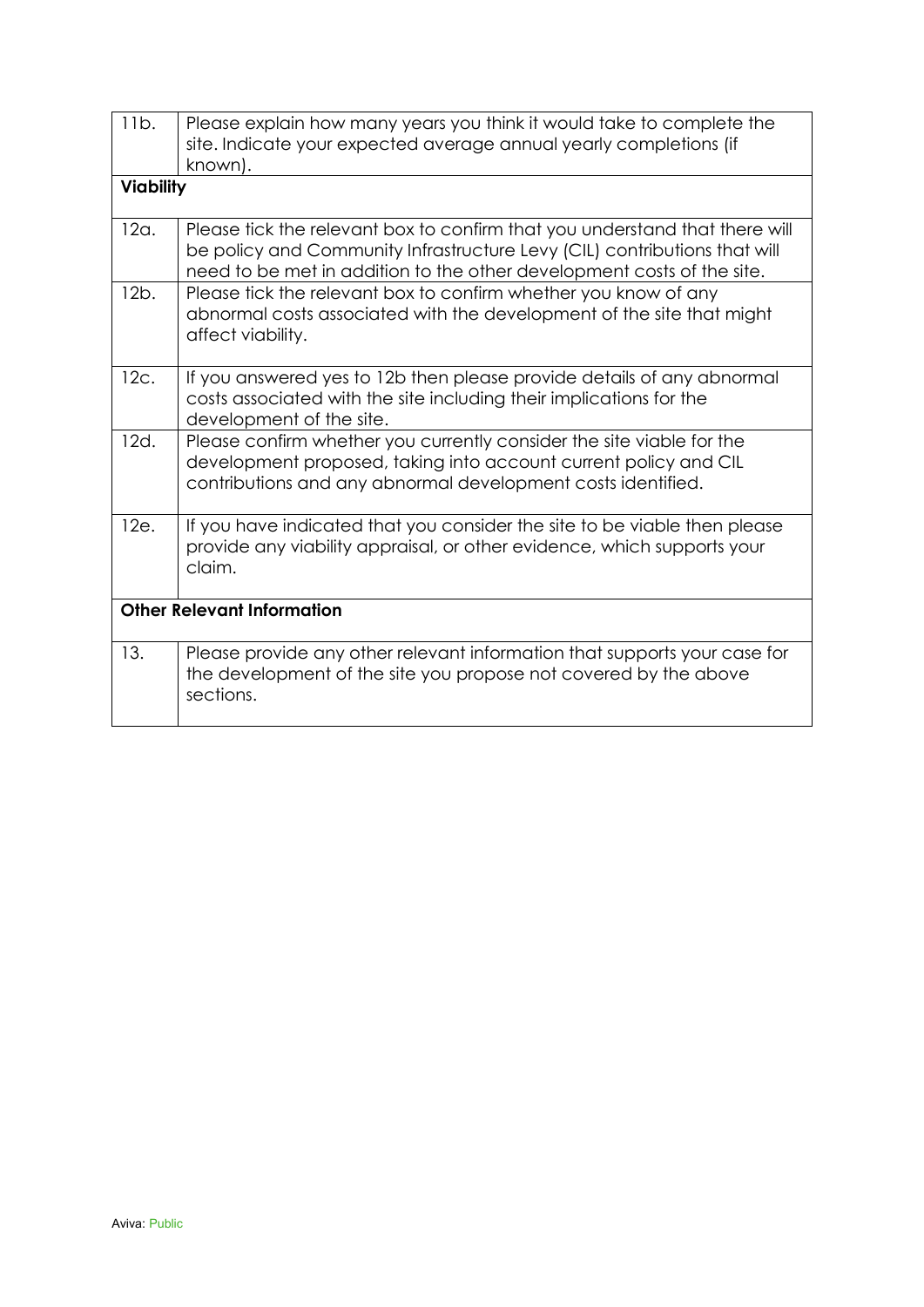| 11b.             | Please explain how many years you think it would take to complete the<br>site. Indicate your expected average annual yearly completions (if<br>known).                                                                             |
|------------------|------------------------------------------------------------------------------------------------------------------------------------------------------------------------------------------------------------------------------------|
| <b>Viability</b> |                                                                                                                                                                                                                                    |
| 12a.             | Please tick the relevant box to confirm that you understand that there will<br>be policy and Community Infrastructure Levy (CIL) contributions that will<br>need to be met in addition to the other development costs of the site. |
| 12b.             | Please tick the relevant box to confirm whether you know of any<br>abnormal costs associated with the development of the site that might<br>affect viability.                                                                      |
| 12c.             | If you answered yes to 12b then please provide details of any abnormal<br>costs associated with the site including their implications for the<br>development of the site.                                                          |
| 12d.             | Please confirm whether you currently consider the site viable for the<br>development proposed, taking into account current policy and CIL<br>contributions and any abnormal development costs identified.                          |
| 12e.             | If you have indicated that you consider the site to be viable then please<br>provide any viability appraisal, or other evidence, which supports your<br>claim.                                                                     |
|                  | <b>Other Relevant Information</b>                                                                                                                                                                                                  |
| 13.              | Please provide any other relevant information that supports your case for<br>the development of the site you propose not covered by the above<br>sections.                                                                         |
|                  |                                                                                                                                                                                                                                    |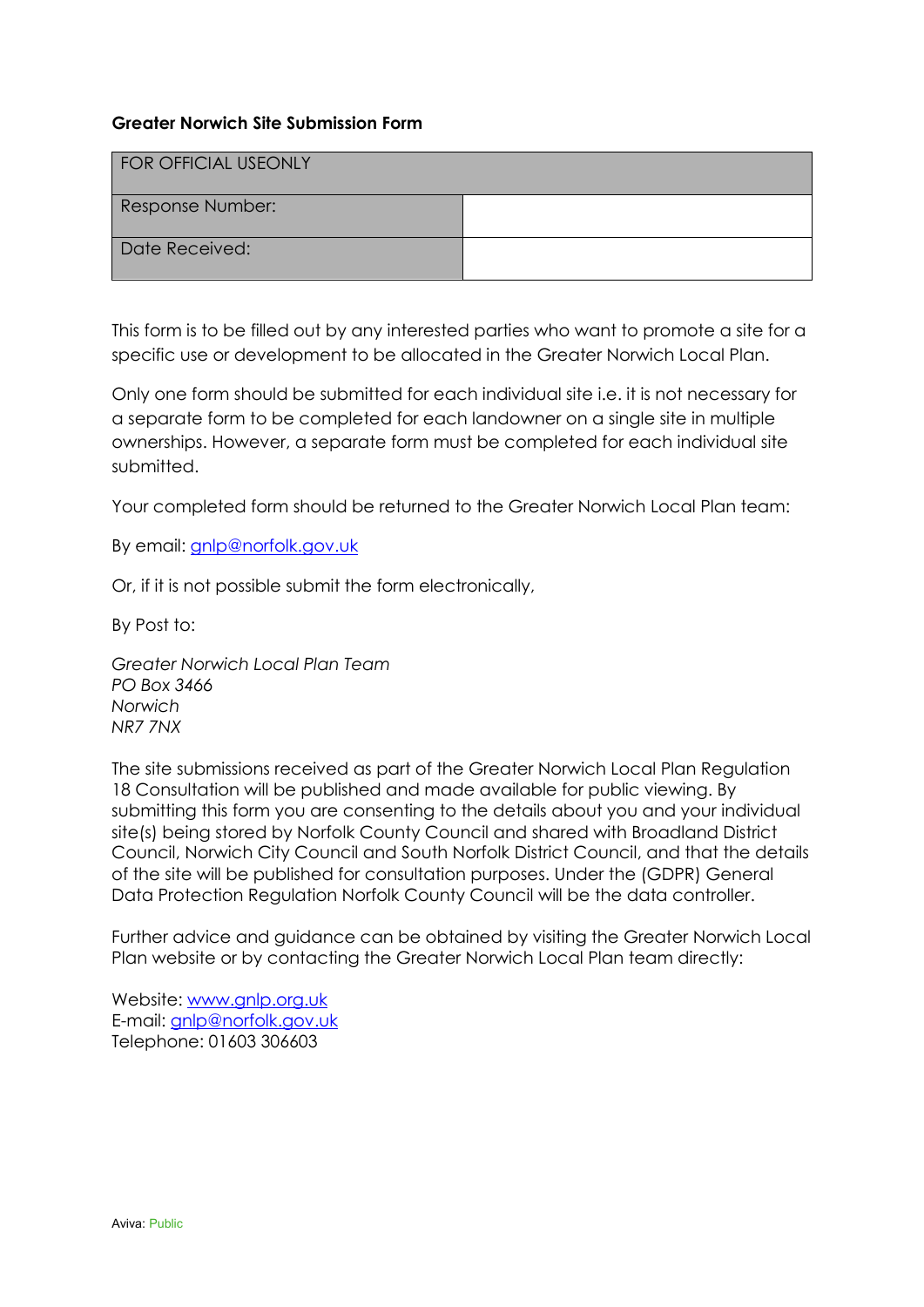### **Greater Norwich Site Submission Form**

| <b>FOR OFFICIAL USEONLY</b> |  |
|-----------------------------|--|
| Response Number:            |  |
| Date Received:              |  |

This form is to be filled out by any interested parties who want to promote a site for a specific use or development to be allocated in the Greater Norwich Local Plan.

Only one form should be submitted for each individual site i.e. it is not necessary for a separate form to be completed for each landowner on a single site in multiple ownerships. However, a separate form must be completed for each individual site submitted.

Your completed form should be returned to the Greater Norwich Local Plan team:

By email: [gnlp@norfolk.gov.uk](mailto:gnlp@norfolk.gov.uk)

Or, if it is not possible submit the form electronically,

By Post to:

*Greater Norwich Local Plan Team PO Box 3466 Norwich NR7 7NX*

The site submissions received as part of the Greater Norwich Local Plan Regulation 18 Consultation will be published and made available for public viewing. By submitting this form you are consenting to the details about you and your individual site(s) being stored by Norfolk County Council and shared with Broadland District Council, Norwich City Council and South Norfolk District Council, and that the details of the site will be published for consultation purposes. Under the (GDPR) General Data Protection Regulation Norfolk County Council will be the data controller.

Further advice and guidance can be obtained by visiting the Greater Norwich Local Plan website or by contacting the Greater Norwich Local Plan team directly:

Website: [www.gnlp.org.uk](http://www.gnlp.org.uk/)  E-mail: [gnlp@norfolk.gov.uk](mailto:gnlp@norfolk.gov.uk) Telephone: 01603 306603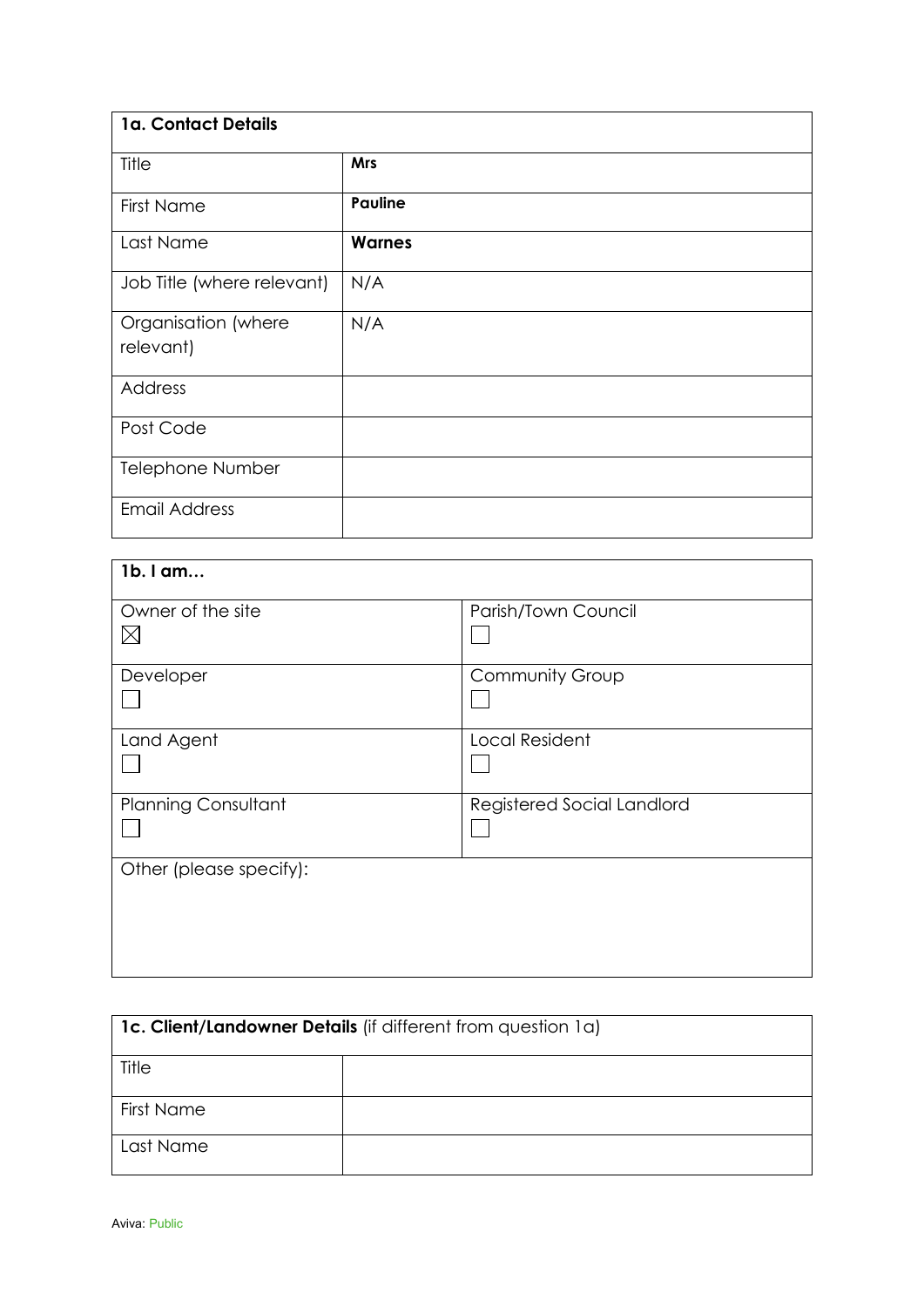| 1a. Contact Details              |                |  |
|----------------------------------|----------------|--|
| Title                            | <b>Mrs</b>     |  |
| <b>First Name</b>                | <b>Pauline</b> |  |
| Last Name                        | <b>Warnes</b>  |  |
| Job Title (where relevant)       | N/A            |  |
| Organisation (where<br>relevant) | N/A            |  |
|                                  |                |  |
| Address                          |                |  |
| Post Code                        |                |  |
| <b>Telephone Number</b>          |                |  |
| <b>Email Address</b>             |                |  |

| 1b. I am                         |                            |  |
|----------------------------------|----------------------------|--|
| Owner of the site<br>$\boxtimes$ | Parish/Town Council        |  |
| Developer                        | Community Group            |  |
| Land Agent                       | <b>Local Resident</b>      |  |
| <b>Planning Consultant</b>       | Registered Social Landlord |  |
| Other (please specify):          |                            |  |

| 1c. Client/Landowner Details (if different from question 1a) |  |  |
|--------------------------------------------------------------|--|--|
| Title                                                        |  |  |
| <b>First Name</b>                                            |  |  |
| Last Name                                                    |  |  |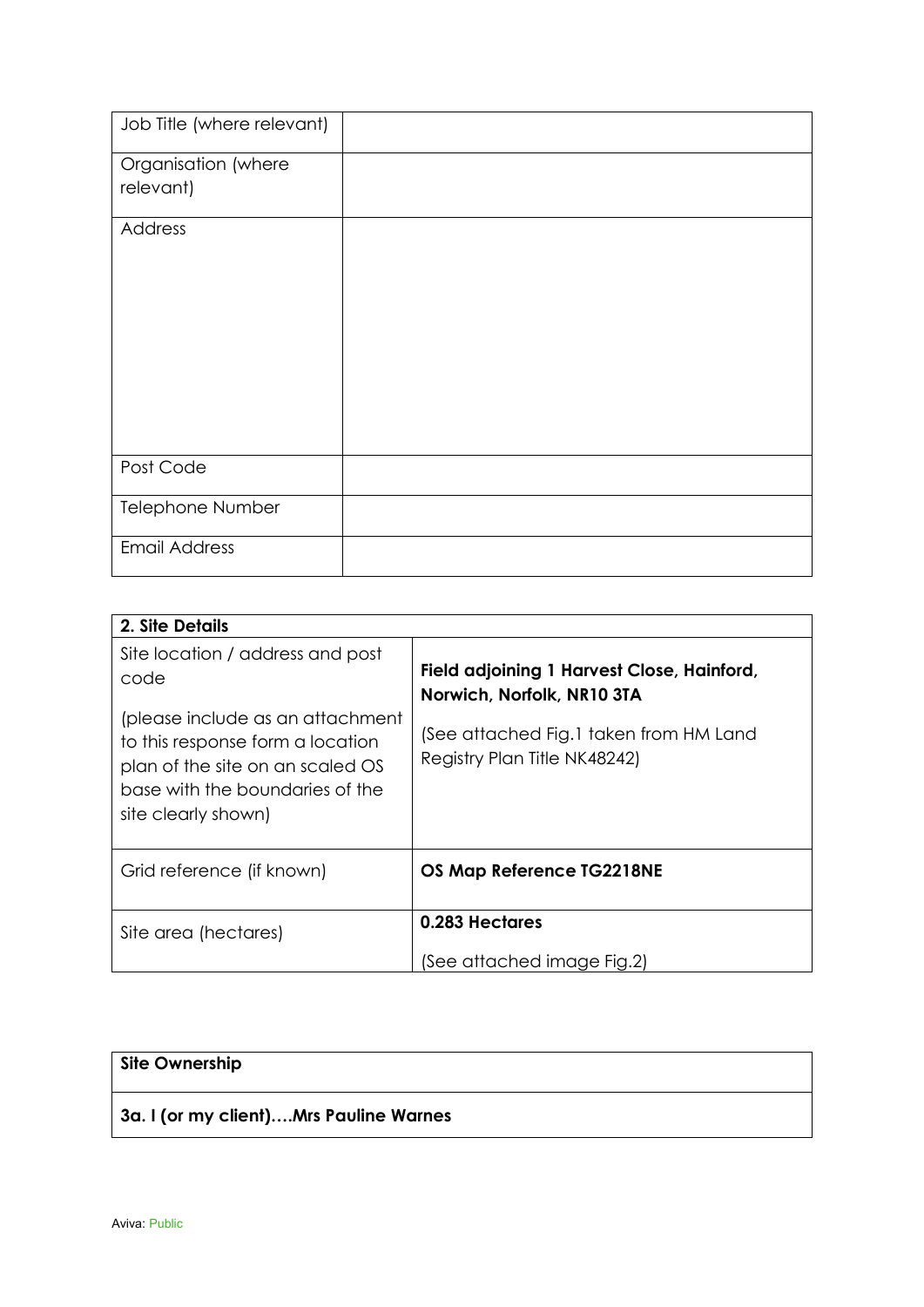| Job Title (where relevant) |  |
|----------------------------|--|
|                            |  |
| Organisation (where        |  |
| relevant)                  |  |
| Address                    |  |
|                            |  |
|                            |  |
|                            |  |
|                            |  |
|                            |  |
|                            |  |
|                            |  |
|                            |  |
|                            |  |
| Post Code                  |  |
| Telephone Number           |  |
|                            |  |
| <b>Email Address</b>       |  |

| 2. Site Details                                                                                                                                                    |                                                                          |
|--------------------------------------------------------------------------------------------------------------------------------------------------------------------|--------------------------------------------------------------------------|
| Site location / address and post<br>code                                                                                                                           | Field adjoining 1 Harvest Close, Hainford,<br>Norwich, Norfolk, NR10 3TA |
| (please include as an attachment<br>to this response form a location<br>plan of the site on an scaled OS<br>base with the boundaries of the<br>site clearly shown) | (See attached Fig.1 taken from HM Land<br>Registry Plan Title NK48242)   |
| Grid reference (if known)                                                                                                                                          | OS Map Reference TG2218NE                                                |
| Site area (hectares)                                                                                                                                               | 0.283 Hectares                                                           |
|                                                                                                                                                                    | (See attached image Fig.2)                                               |

| Site Ownership                         |  |
|----------------------------------------|--|
| 3a. I (or my client)Mrs Pauline Warnes |  |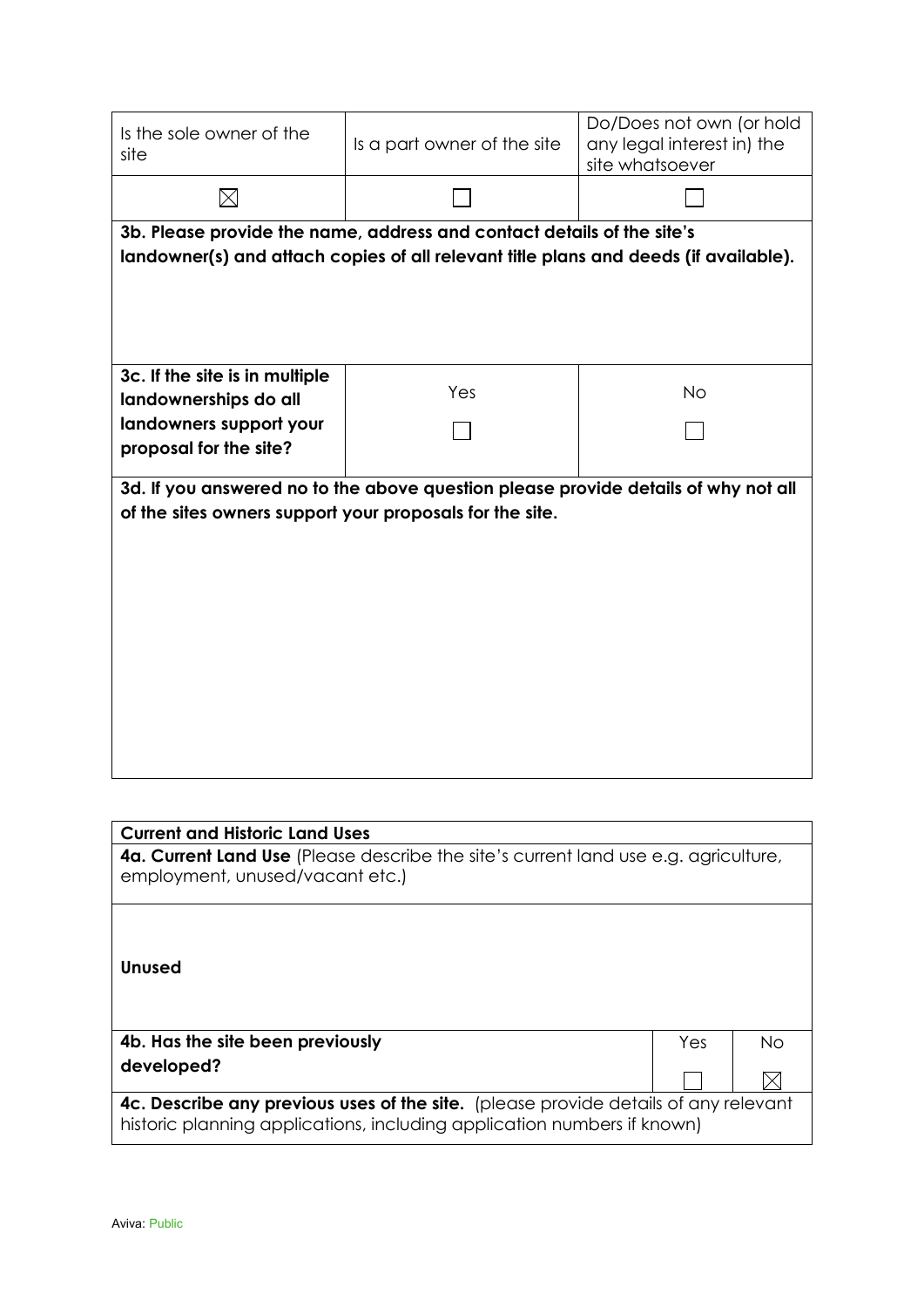| Is the sole owner of the<br>site                                                                                                                                | Is a part owner of the site                                                                                                                                    | site whatsoever | Do/Does not own (or hold<br>any legal interest in) the |    |  |  |
|-----------------------------------------------------------------------------------------------------------------------------------------------------------------|----------------------------------------------------------------------------------------------------------------------------------------------------------------|-----------------|--------------------------------------------------------|----|--|--|
| $\boxtimes$                                                                                                                                                     |                                                                                                                                                                |                 |                                                        |    |  |  |
|                                                                                                                                                                 | 3b. Please provide the name, address and contact details of the site's<br>landowner(s) and attach copies of all relevant title plans and deeds (if available). |                 |                                                        |    |  |  |
| 3c. If the site is in multiple<br>landownerships do all<br>landowners support your<br>proposal for the site?                                                    | Yes                                                                                                                                                            |                 | <b>No</b>                                              |    |  |  |
|                                                                                                                                                                 |                                                                                                                                                                |                 |                                                        |    |  |  |
| of the sites owners support your proposals for the site.                                                                                                        | 3d. If you answered no to the above question please provide details of why not all                                                                             |                 |                                                        |    |  |  |
|                                                                                                                                                                 |                                                                                                                                                                |                 |                                                        |    |  |  |
|                                                                                                                                                                 |                                                                                                                                                                |                 |                                                        |    |  |  |
| <b>Current and Historic Land Uses</b><br>4a. Current Land Use (Please describe the site's current land use e.g. agriculture,<br>employment, unused/vacant etc.) |                                                                                                                                                                |                 |                                                        |    |  |  |
| <b>Unused</b>                                                                                                                                                   |                                                                                                                                                                |                 |                                                        |    |  |  |
| 4b. Has the site been previously                                                                                                                                |                                                                                                                                                                |                 | Yes                                                    | No |  |  |
| developed?                                                                                                                                                      |                                                                                                                                                                |                 |                                                        | M  |  |  |

**4c. Describe any previous uses of the site.** (please provide details of any relevant historic planning applications, including application numbers if known)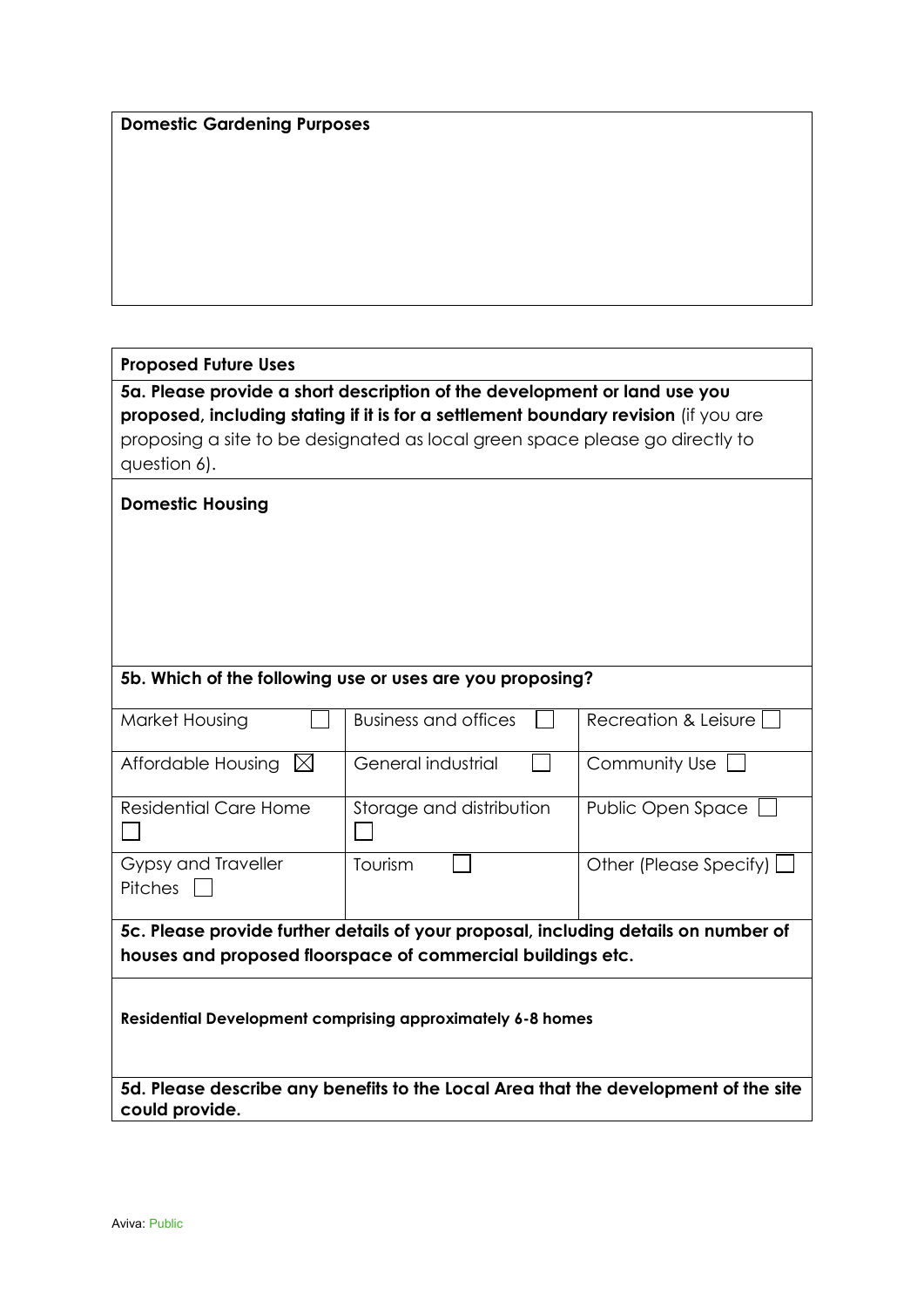|  | <b>Domestic Gardening Purposes</b> |  |
|--|------------------------------------|--|
|--|------------------------------------|--|

## **Proposed Future Uses**

**5a. Please provide a short description of the development or land use you proposed, including stating if it is for a settlement boundary revision** (if you are proposing a site to be designated as local green space please go directly to question 6).

| <b>Domestic Housing</b>                                                             |                                                                                     |                          |  |  |
|-------------------------------------------------------------------------------------|-------------------------------------------------------------------------------------|--------------------------|--|--|
|                                                                                     |                                                                                     |                          |  |  |
|                                                                                     |                                                                                     |                          |  |  |
|                                                                                     | 5b. Which of the following use or uses are you proposing?                           |                          |  |  |
| Market Housing                                                                      | <b>Business and offices</b>                                                         | Recreation & Leisure     |  |  |
| Affordable Housing<br>$\bowtie$                                                     | General industrial                                                                  | Community Use            |  |  |
| <b>Residential Care Home</b>                                                        | Storage and distribution                                                            | Public Open Space        |  |  |
| Gypsy and Traveller<br><b>Pitches</b>                                               | Tourism                                                                             | Other (Please Specify) [ |  |  |
| 5c. Please provide further details of your proposal, including details on number of |                                                                                     |                          |  |  |
|                                                                                     | houses and proposed floorspace of commercial buildings etc.                         |                          |  |  |
| Residential Development comprising approximately 6-8 homes                          |                                                                                     |                          |  |  |
| could provide.                                                                      | 5d. Please describe any benefits to the Local Area that the development of the site |                          |  |  |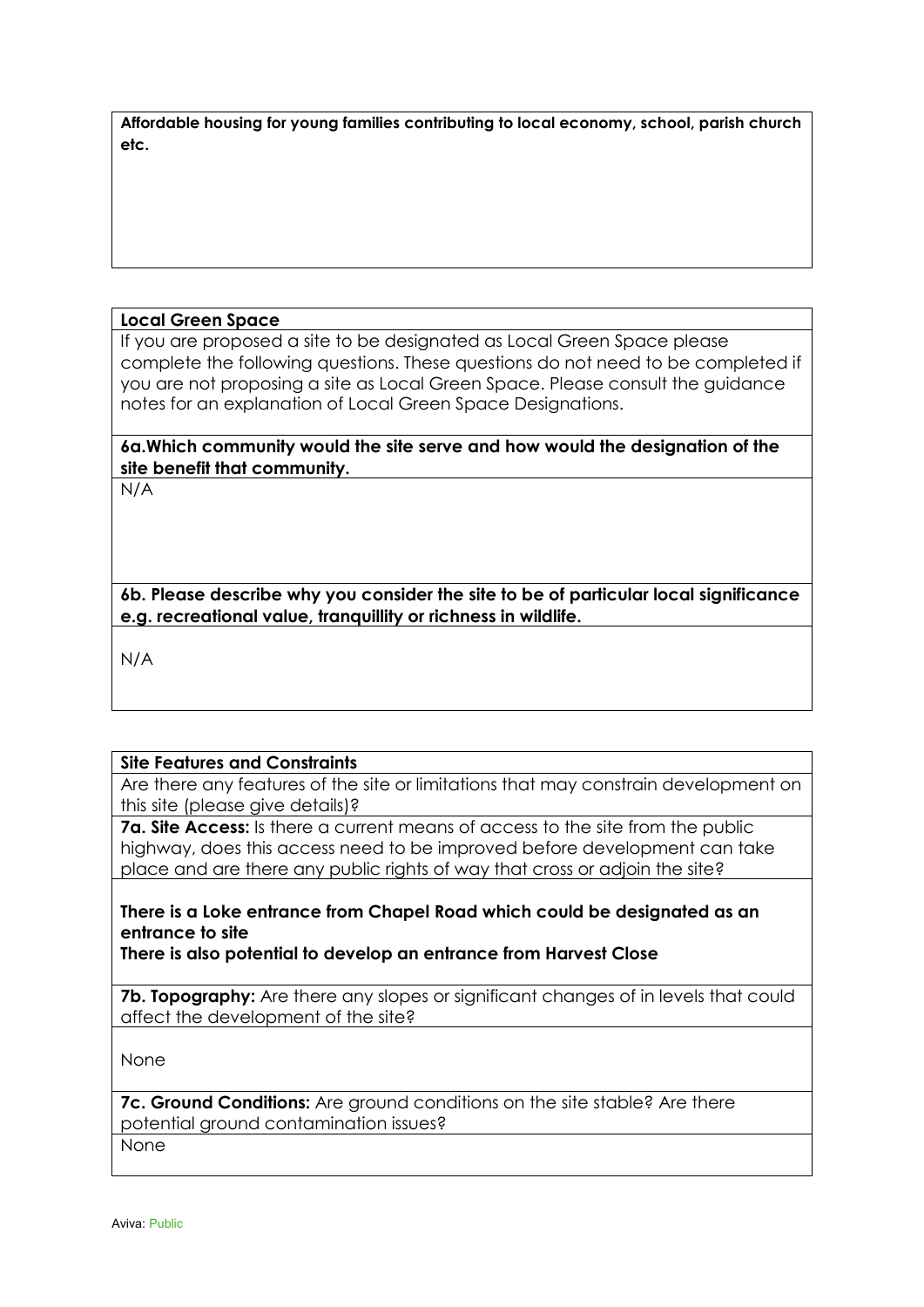| Affordable housing for young families contributing to local economy, school, parish church |  |
|--------------------------------------------------------------------------------------------|--|
| etc.                                                                                       |  |

#### **Local Green Space**

If you are proposed a site to be designated as Local Green Space please complete the following questions. These questions do not need to be completed if you are not proposing a site as Local Green Space. Please consult the guidance notes for an explanation of Local Green Space Designations.

**6a.Which community would the site serve and how would the designation of the site benefit that community.** 

N/A

**6b. Please describe why you consider the site to be of particular local significance e.g. recreational value, tranquillity or richness in wildlife.** 

N/A

#### **Site Features and Constraints**

Are there any features of the site or limitations that may constrain development on this site (please give details)?

**7a. Site Access:** Is there a current means of access to the site from the public highway, does this access need to be improved before development can take place and are there any public rights of way that cross or adjoin the site?

## **There is a Loke entrance from Chapel Road which could be designated as an entrance to site**

**There is also potential to develop an entrance from Harvest Close** 

**7b. Topography:** Are there any slopes or significant changes of in levels that could affect the development of the site?

None

**7c. Ground Conditions:** Are ground conditions on the site stable? Are there potential ground contamination issues?

None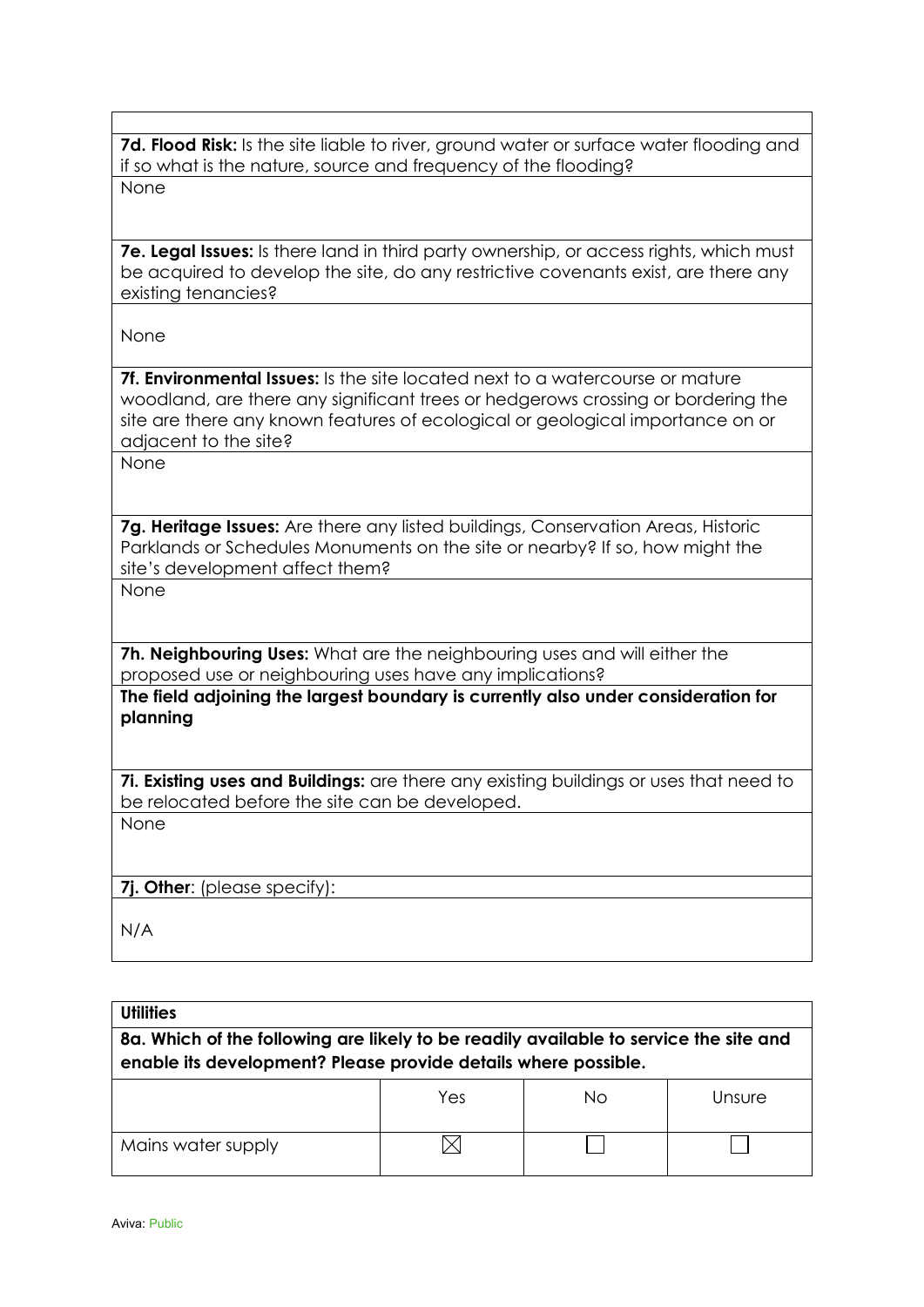**7d. Flood Risk:** Is the site liable to river, ground water or surface water flooding and if so what is the nature, source and frequency of the flooding? None

**7e. Legal Issues:** Is there land in third party ownership, or access rights, which must be acquired to develop the site, do any restrictive covenants exist, are there any existing tenancies?

None

**7f. Environmental Issues:** Is the site located next to a watercourse or mature woodland, are there any significant trees or hedgerows crossing or bordering the site are there any known features of ecological or geological importance on or adjacent to the site?

None

**7g. Heritage Issues:** Are there any listed buildings, Conservation Areas, Historic Parklands or Schedules Monuments on the site or nearby? If so, how might the site's development affect them?

None

**7h. Neighbouring Uses:** What are the neighbouring uses and will either the proposed use or neighbouring uses have any implications?

**The field adjoining the largest boundary is currently also under consideration for planning**

**7i. Existing uses and Buildings:** are there any existing buildings or uses that need to be relocated before the site can be developed.

None

**7j. Other**: (please specify):

N/A

| <b>Utilities</b>                                                                                                                                        |     |    |        |  |
|---------------------------------------------------------------------------------------------------------------------------------------------------------|-----|----|--------|--|
| 8a. Which of the following are likely to be readily available to service the site and<br>enable its development? Please provide details where possible. |     |    |        |  |
|                                                                                                                                                         | Yes | Nο | Unsure |  |
| Mains water supply                                                                                                                                      |     |    |        |  |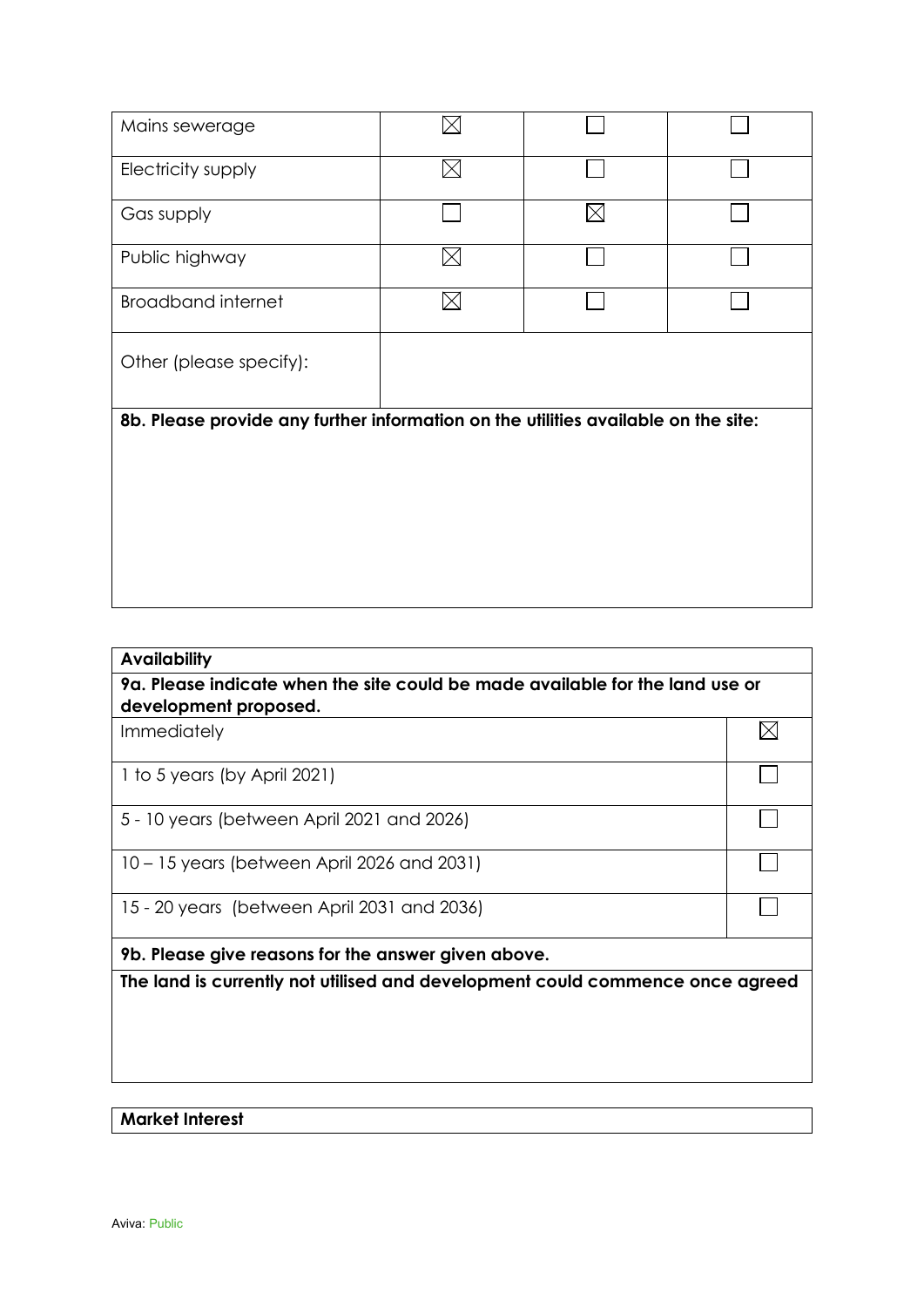| Mains sewerage                                                                     |             |          |  |
|------------------------------------------------------------------------------------|-------------|----------|--|
| Electricity supply                                                                 | $\boxtimes$ |          |  |
| Gas supply                                                                         |             | $\times$ |  |
| Public highway                                                                     | $\boxtimes$ |          |  |
| <b>Broadband internet</b>                                                          | $\boxtimes$ |          |  |
| Other (please specify):                                                            |             |          |  |
| 8b. Please provide any further information on the utilities available on the site: |             |          |  |
|                                                                                    |             |          |  |

| <b>Availability</b>                                                                                    |   |  |
|--------------------------------------------------------------------------------------------------------|---|--|
| 9a. Please indicate when the site could be made available for the land use or<br>development proposed. |   |  |
| <b>Immediately</b>                                                                                     | ⋉ |  |
| 1 to 5 years (by April 2021)                                                                           |   |  |
| 5 - 10 years (between April 2021 and 2026)                                                             |   |  |
| 10 – 15 years (between April 2026 and 2031)                                                            |   |  |
| 15 - 20 years (between April 2031 and 2036)                                                            |   |  |
| 9b. Please give reasons for the answer given above.                                                    |   |  |
| The land is currently not utilised and development could commence once agreed                          |   |  |
|                                                                                                        |   |  |
|                                                                                                        |   |  |
|                                                                                                        |   |  |
|                                                                                                        |   |  |
| <b>Market Interest</b>                                                                                 |   |  |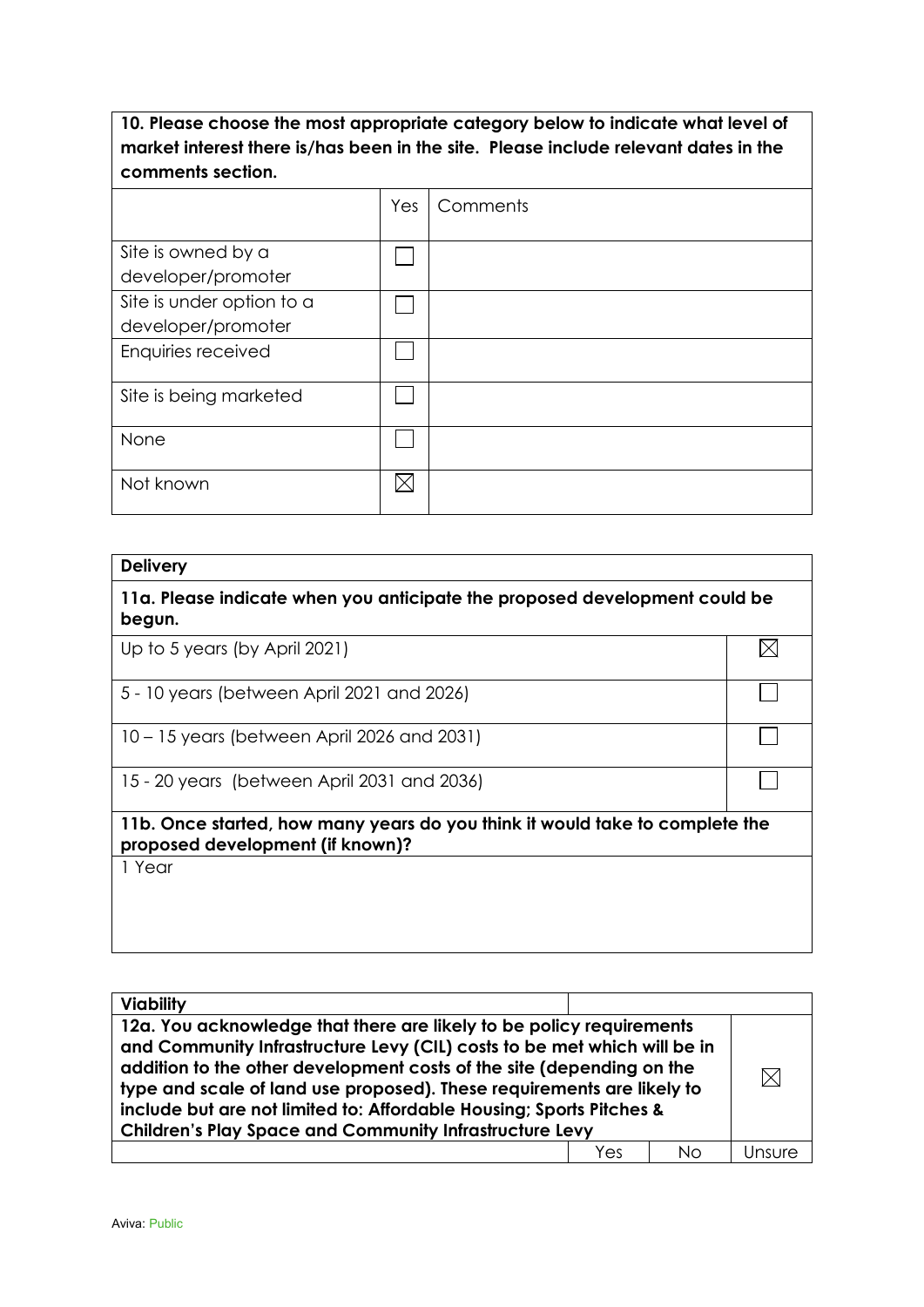**10. Please choose the most appropriate category below to indicate what level of market interest there is/has been in the site. Please include relevant dates in the comments section.**

|                           | Yes | Comments |
|---------------------------|-----|----------|
|                           |     |          |
| Site is owned by a        |     |          |
| developer/promoter        |     |          |
| Site is under option to a |     |          |
| developer/promoter        |     |          |
| Enquiries received        |     |          |
|                           |     |          |
| Site is being marketed    |     |          |
|                           |     |          |
| None                      |     |          |
|                           |     |          |
| Not known                 |     |          |
|                           |     |          |

| <b>Delivery</b>                                                                                                  |    |
|------------------------------------------------------------------------------------------------------------------|----|
| 11a. Please indicate when you anticipate the proposed development could be<br>begun.                             |    |
| Up to 5 years (by April 2021)                                                                                    | ΙX |
| 5 - 10 years (between April 2021 and 2026)                                                                       |    |
| 10 – 15 years (between April 2026 and 2031)                                                                      |    |
| 15 - 20 years (between April 2031 and 2036)                                                                      |    |
| 11b. Once started, how many years do you think it would take to complete the<br>proposed development (if known)? |    |
| 1 Year                                                                                                           |    |
|                                                                                                                  |    |
|                                                                                                                  |    |

| <b>Viability</b>                                                                                                                                                                                                                                                                                                                                                                                                                              |     |    |        |
|-----------------------------------------------------------------------------------------------------------------------------------------------------------------------------------------------------------------------------------------------------------------------------------------------------------------------------------------------------------------------------------------------------------------------------------------------|-----|----|--------|
| 12a. You acknowledge that there are likely to be policy requirements<br>and Community Infrastructure Levy (CIL) costs to be met which will be in<br>addition to the other development costs of the site (depending on the<br>type and scale of land use proposed). These requirements are likely to<br>include but are not limited to: Affordable Housing; Sports Pitches &<br><b>Children's Play Space and Community Infrastructure Levy</b> |     |    |        |
|                                                                                                                                                                                                                                                                                                                                                                                                                                               | Yes | Nο | Unsure |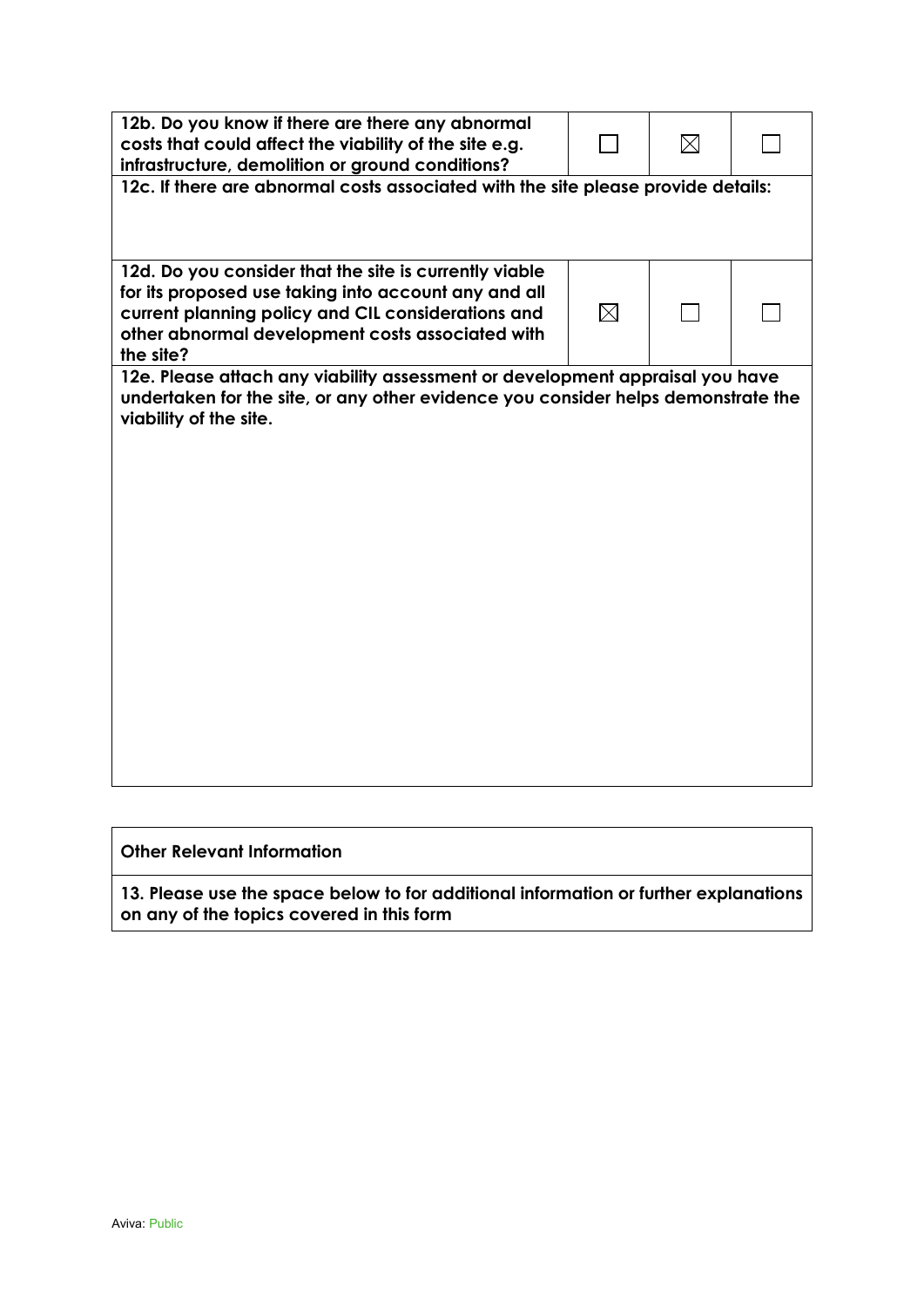| 12b. Do you know if there are there any abnormal<br>costs that could affect the viability of the site e.g.<br>infrastructure, demolition or ground conditions?                                                                        |          | $\boxtimes$ |  |
|---------------------------------------------------------------------------------------------------------------------------------------------------------------------------------------------------------------------------------------|----------|-------------|--|
| 12c. If there are abnormal costs associated with the site please provide details:                                                                                                                                                     |          |             |  |
| 12d. Do you consider that the site is currently viable<br>for its proposed use taking into account any and all<br>current planning policy and CIL considerations and<br>other abnormal development costs associated with<br>the site? | $\times$ |             |  |
| 12e. Please attach any viability assessment or development appraisal you have<br>undertaken for the site, or any other evidence you consider helps demonstrate the<br>viability of the site.                                          |          |             |  |

## **Other Relevant Information**

**13. Please use the space below to for additional information or further explanations on any of the topics covered in this form**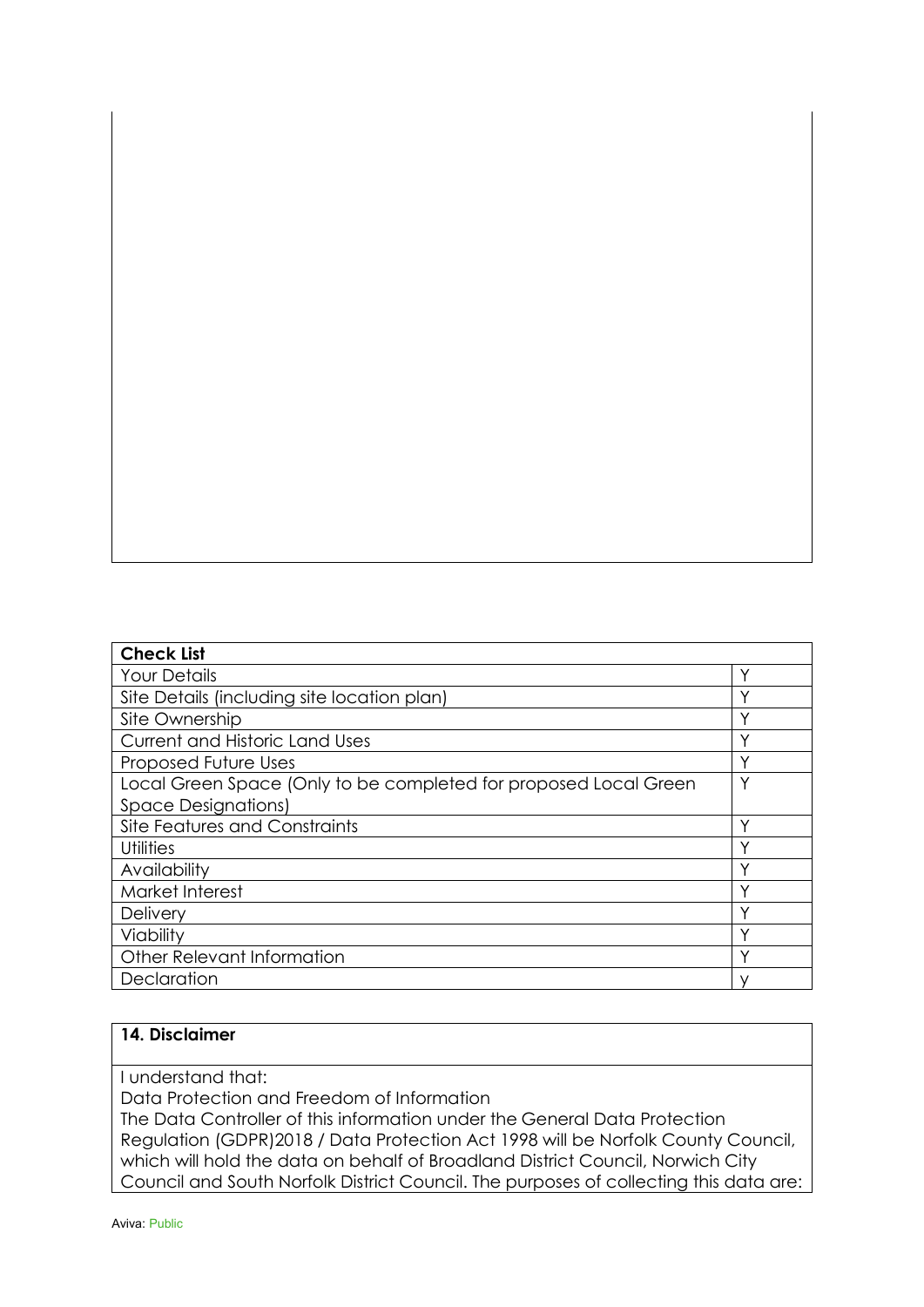| <b>Check List</b>                                                |   |
|------------------------------------------------------------------|---|
| <b>Your Details</b>                                              | ◡ |
| Site Details (including site location plan)                      |   |
| Site Ownership                                                   | ν |
| <b>Current and Historic Land Uses</b>                            |   |
| <b>Proposed Future Uses</b>                                      |   |
| Local Green Space (Only to be completed for proposed Local Green | ٧ |
| <b>Space Designations)</b>                                       |   |
| Site Features and Constraints                                    |   |
| <b>Utilities</b>                                                 |   |
| Availability                                                     | ν |
| Market Interest                                                  |   |
| Delivery                                                         | ν |
| Viability                                                        |   |
| Other Relevant Information                                       |   |
| Declaration                                                      |   |

## **14. Disclaimer**

I understand that:

Data Protection and Freedom of Information

The Data Controller of this information under the General Data Protection Regulation (GDPR)2018 / Data Protection Act 1998 will be Norfolk County Council, which will hold the data on behalf of Broadland District Council, Norwich City Council and South Norfolk District Council. The purposes of collecting this data are: